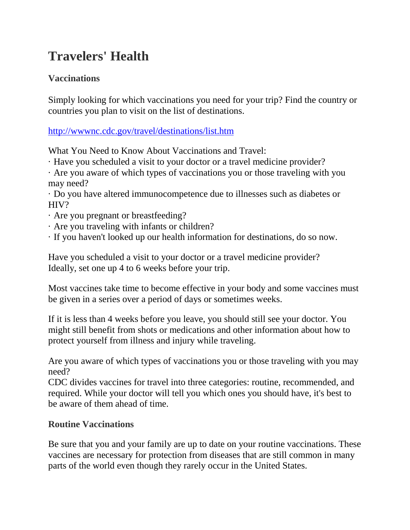# **Travelers' Health**

## **Vaccinations**

Simply looking for which vaccinations you need for your trip? Find the country or countries you plan to visit on the list of destinations.

<http://wwwnc.cdc.gov/travel/destinations/list.htm>

What You Need to Know About Vaccinations and Travel:

· Have you scheduled a visit to your doctor or a travel medicine provider?

· Are you aware of which types of vaccinations you or those traveling with you may need?

· Do you have altered immunocompetence due to illnesses such as diabetes or HIV?

- · Are you pregnant or breastfeeding?
- · Are you traveling with infants or children?
- · If you haven't looked up our health information for destinations, do so now.

Have you scheduled a visit to your doctor or a travel medicine provider? Ideally, set one up 4 to 6 weeks before your trip.

Most vaccines take time to become effective in your body and some vaccines must be given in a series over a period of days or sometimes weeks.

If it is less than 4 weeks before you leave, you should still see your doctor. You might still benefit from shots or medications and other information about how to protect yourself from illness and injury while traveling.

Are you aware of which types of vaccinations you or those traveling with you may need?

CDC divides vaccines for travel into three categories: routine, recommended, and required. While your doctor will tell you which ones you should have, it's best to be aware of them ahead of time.

### **Routine Vaccinations**

Be sure that you and your family are up to date on your routine vaccinations. These vaccines are necessary for protection from diseases that are still common in many parts of the world even though they rarely occur in the United States.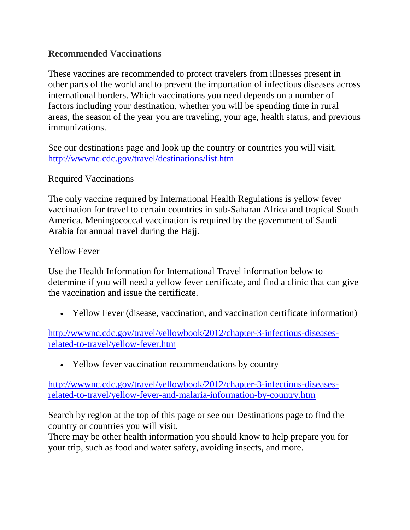#### **Recommended Vaccinations**

These vaccines are recommended to protect travelers from illnesses present in other parts of the world and to prevent the importation of infectious diseases across international borders. Which vaccinations you need depends on a number of factors including your destination, whether you will be spending time in rural areas, the season of the year you are traveling, your age, health status, and previous immunizations.

See our destinations page and look up the country or countries you will visit. <http://wwwnc.cdc.gov/travel/destinations/list.htm>

Required Vaccinations

The only vaccine required by International Health Regulations is yellow fever vaccination for travel to certain countries in sub-Saharan Africa and tropical South America. Meningococcal vaccination is required by the government of Saudi Arabia for annual travel during the Hajj.

Yellow Fever

Use the Health Information for International Travel information below to determine if you will need a yellow fever certificate, and find a clinic that can give the vaccination and issue the certificate.

• Yellow Fever (disease, vaccination, and vaccination certificate information)

[http://wwwnc.cdc.gov/travel/yellowbook/2012/chapter-3-infectious-diseases](http://wwwnc.cdc.gov/travel/yellowbook/2012/chapter-3-infectious-diseases-related-to-travel/yellow-fever.htm)[related-to-travel/yellow-fever.htm](http://wwwnc.cdc.gov/travel/yellowbook/2012/chapter-3-infectious-diseases-related-to-travel/yellow-fever.htm)

• Yellow fever vaccination recommendations by country

[http://wwwnc.cdc.gov/travel/yellowbook/2012/chapter-3-infectious-diseases](http://wwwnc.cdc.gov/travel/yellowbook/2012/chapter-3-infectious-diseases-related-to-travel/yellow-fever-and-malaria-information-by-country.htm)[related-to-travel/yellow-fever-and-malaria-information-by-country.htm](http://wwwnc.cdc.gov/travel/yellowbook/2012/chapter-3-infectious-diseases-related-to-travel/yellow-fever-and-malaria-information-by-country.htm)

Search by region at the top of this page or see our Destinations page to find the country or countries you will visit.

There may be other health information you should know to help prepare you for your trip, such as food and water safety, avoiding insects, and more.